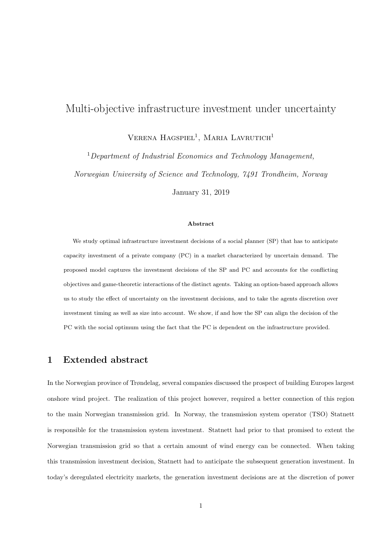## Multi-objective infrastructure investment under uncertainty

 $V$ erena Hagspiel<sup>1</sup>, Maria Lavrutich<sup>1</sup>

 $1$ Department of Industrial Economics and Technology Management, Norwegian University of Science and Technology, 7491 Trondheim, Norway

January 31, 2019

## Abstract

We study optimal infrastructure investment decisions of a social planner (SP) that has to anticipate capacity investment of a private company (PC) in a market characterized by uncertain demand. The proposed model captures the investment decisions of the SP and PC and accounts for the conflicting objectives and game-theoretic interactions of the distinct agents. Taking an option-based approach allows us to study the effect of uncertainty on the investment decisions, and to take the agents discretion over investment timing as well as size into account. We show, if and how the SP can align the decision of the PC with the social optimum using the fact that the PC is dependent on the infrastructure provided.

## 1 Extended abstract

In the Norwegian province of Trøndelag, several companies discussed the prospect of building Europes largest onshore wind project. The realization of this project however, required a better connection of this region to the main Norwegian transmission grid. In Norway, the transmission system operator (TSO) Statnett is responsible for the transmission system investment. Statnett had prior to that promised to extent the Norwegian transmission grid so that a certain amount of wind energy can be connected. When taking this transmission investment decision, Statnett had to anticipate the subsequent generation investment. In today's deregulated electricity markets, the generation investment decisions are at the discretion of power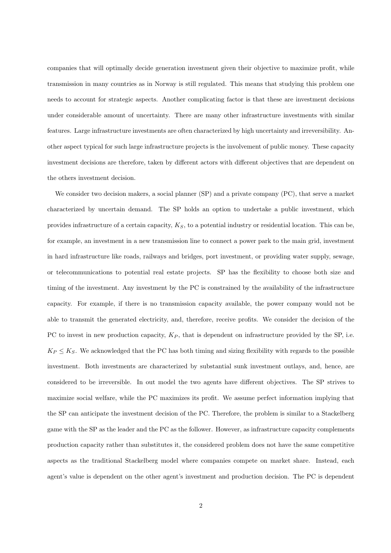companies that will optimally decide generation investment given their objective to maximize profit, while transmission in many countries as in Norway is still regulated. This means that studying this problem one needs to account for strategic aspects. Another complicating factor is that these are investment decisions under considerable amount of uncertainty. There are many other infrastructure investments with similar features. Large infrastructure investments are often characterized by high uncertainty and irreversibility. Another aspect typical for such large infrastructure projects is the involvement of public money. These capacity investment decisions are therefore, taken by different actors with different objectives that are dependent on the others investment decision.

We consider two decision makers, a social planner (SP) and a private company (PC), that serve a market characterized by uncertain demand. The SP holds an option to undertake a public investment, which provides infrastructure of a certain capacity,  $K_S$ , to a potential industry or residential location. This can be, for example, an investment in a new transmission line to connect a power park to the main grid, investment in hard infrastructure like roads, railways and bridges, port investment, or providing water supply, sewage, or telecommunications to potential real estate projects. SP has the flexibility to choose both size and timing of the investment. Any investment by the PC is constrained by the availability of the infrastructure capacity. For example, if there is no transmission capacity available, the power company would not be able to transmit the generated electricity, and, therefore, receive profits. We consider the decision of the PC to invest in new production capacity,  $K_P$ , that is dependent on infrastructure provided by the SP, i.e.  $K_P \leq K_S$ . We acknowledged that the PC has both timing and sizing flexibility with regards to the possible investment. Both investments are characterized by substantial sunk investment outlays, and, hence, are considered to be irreversible. In out model the two agents have different objectives. The SP strives to maximize social welfare, while the PC maximizes its profit. We assume perfect information implying that the SP can anticipate the investment decision of the PC. Therefore, the problem is similar to a Stackelberg game with the SP as the leader and the PC as the follower. However, as infrastructure capacity complements production capacity rather than substitutes it, the considered problem does not have the same competitive aspects as the traditional Stackelberg model where companies compete on market share. Instead, each agent's value is dependent on the other agent's investment and production decision. The PC is dependent